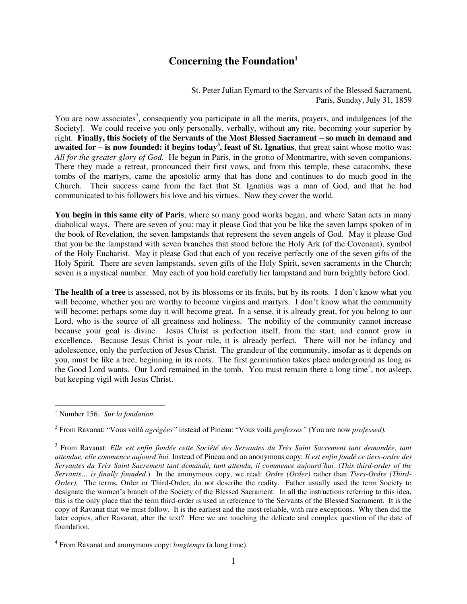## **Concerning the Foundation<sup>1</sup>**

St. Peter Julian Eymard to the Servants of the Blessed Sacrament, Paris, Sunday, July 31, 1859

You are now associates<sup>2</sup>, consequently you participate in all the merits, prayers, and indulgences [of the Society]. We could receive you only personally, verbally, without any rite, becoming your superior by right. **Finally, this Society of the Servants of the Most Blessed Sacrament – so much in demand and awaited for – is now founded: it begins today<sup>3</sup>, feast of St. Ignatius, that great saint whose motto was:** *All for the greater glory of God.* He began in Paris, in the grotto of Montmartre, with seven companions. There they made a retreat, pronounced their first vows, and from this temple, these catacombs, these tombs of the martyrs, came the apostolic army that has done and continues to do much good in the Church. Their success came from the fact that St. Ignatius was a man of God, and that he had communicated to his followers his love and his virtues. Now they cover the world.

**You begin in this same city of Paris**, where so many good works began, and where Satan acts in many diabolical ways. There are seven of you: may it please God that you be like the seven lamps spoken of in the book of Revelation, the seven lampstands that represent the seven angels of God. May it please God that you be the lampstand with seven branches that stood before the Holy Ark (of the Covenant), symbol of the Holy Eucharist. May it please God that each of you receive perfectly one of the seven gifts of the Holy Spirit. There are seven lampstands, seven gifts of the Holy Spirit, seven sacraments in the Church; seven is a mystical number. May each of you hold carefully her lampstand and burn brightly before God.

**The health of a tree** is assessed, not by its blossoms or its fruits, but by its roots. I don't know what you will become, whether you are worthy to become virgins and martyrs. I don't know what the community will become: perhaps some day it will become great. In a sense, it is already great, for you belong to our Lord, who is the source of all greatness and holiness. The nobility of the community cannot increase because your goal is divine. Jesus Christ is perfection itself, from the start, and cannot grow in excellence. Because Jesus Christ is your rule, it is already perfect. There will not be infancy and adolescence, only the perfection of Jesus Christ. The grandeur of the community, insofar as it depends on you, must be like a tree, beginning in its roots. The first germination takes place underground as long as the Good Lord wants. Our Lord remained in the tomb. You must remain there a long time<sup>4</sup>, not asleep, but keeping vigil with Jesus Christ.

 $\overline{a}$ 

<sup>1</sup> Number 156. *Sur la fondation.* 

<sup>2</sup> From Ravanat: "Vous voilà *agrégées"* instead of Pineau: "Vous voilà *professes"* (You are now *professed).* 

<sup>3</sup> From Ravanat: *Elle est enfin fondée cette Société des Servantes du Très Saint Sacrement tant demandée, tant attendue, elle commence aujourd'hui.* Instead of Pineau and an anonymous copy: *Il est enfin fondé ce tiers-ordre des Servantes du Très Saint Sacrement tant demandé, tant attendu, il commence aujourd'hui.* (*This third-order of the Servants… is finally founded.*) In the anonymous copy, we read: *Ordre (Order)* rather than *Tiers-Ordre (Third-Order*). The terms, Order or Third-Order, do not describe the reality. Father usually used the term Society to designate the women's branch of the Society of the Blessed Sacrament. In all the instructions referring to this idea, this is the only place that the term third-order is used in reference to the Servants of the Blessed Sacrament. It is the copy of Ravanat that we must follow. It is the earliest and the most reliable, with rare exceptions. Why then did the later copies, after Ravanat, alter the text? Here we are touching the delicate and complex question of the date of foundation.

<sup>4</sup> From Ravanat and anonymous copy: *longtemps* (a long time).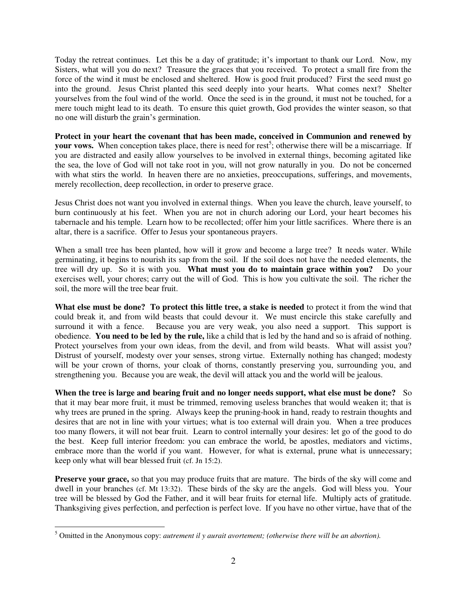Today the retreat continues. Let this be a day of gratitude; it's important to thank our Lord. Now, my Sisters, what will you do next? Treasure the graces that you received. To protect a small fire from the force of the wind it must be enclosed and sheltered. How is good fruit produced? First the seed must go into the ground. Jesus Christ planted this seed deeply into your hearts. What comes next? Shelter yourselves from the foul wind of the world. Once the seed is in the ground, it must not be touched, for a mere touch might lead to its death. To ensure this quiet growth, God provides the winter season, so that no one will disturb the grain's germination.

**Protect in your heart the covenant that has been made, conceived in Communion and renewed by**  your vows. When conception takes place, there is need for rest<sup>5</sup>; otherwise there will be a miscarriage. If you are distracted and easily allow yourselves to be involved in external things, becoming agitated like the sea, the love of God will not take root in you, will not grow naturally in you. Do not be concerned with what stirs the world. In heaven there are no anxieties, preoccupations, sufferings, and movements, merely recollection, deep recollection, in order to preserve grace.

Jesus Christ does not want you involved in external things. When you leave the church, leave yourself, to burn continuously at his feet. When you are not in church adoring our Lord, your heart becomes his tabernacle and his temple. Learn how to be recollected; offer him your little sacrifices. Where there is an altar, there is a sacrifice. Offer to Jesus your spontaneous prayers.

When a small tree has been planted, how will it grow and become a large tree? It needs water. While germinating, it begins to nourish its sap from the soil. If the soil does not have the needed elements, the tree will dry up. So it is with you. **What must you do to maintain grace within you?** Do your exercises well, your chores; carry out the will of God. This is how you cultivate the soil. The richer the soil, the more will the tree bear fruit.

**What else must be done? To protect this little tree, a stake is needed** to protect it from the wind that could break it, and from wild beasts that could devour it. We must encircle this stake carefully and surround it with a fence. Because you are very weak, you also need a support. This support is obedience. **You need to be led by the rule,** like a child that is led by the hand and so is afraid of nothing. Protect yourselves from your own ideas, from the devil, and from wild beasts. What will assist you? Distrust of yourself, modesty over your senses, strong virtue. Externally nothing has changed; modesty will be your crown of thorns, your cloak of thorns, constantly preserving you, surrounding you, and strengthening you. Because you are weak, the devil will attack you and the world will be jealous.

**When the tree is large and bearing fruit and no longer needs support, what else must be done?** So that it may bear more fruit, it must be trimmed, removing useless branches that would weaken it; that is why trees are pruned in the spring. Always keep the pruning-hook in hand, ready to restrain thoughts and desires that are not in line with your virtues; what is too external will drain you. When a tree produces too many flowers, it will not bear fruit. Learn to control internally your desires: let go of the good to do the best. Keep full interior freedom: you can embrace the world, be apostles, mediators and victims, embrace more than the world if you want. However, for what is external, prune what is unnecessary; keep only what will bear blessed fruit (cf. Jn 15:2).

**Preserve your grace,** so that you may produce fruits that are mature. The birds of the sky will come and dwell in your branches (cf. Mt 13:32). These birds of the sky are the angels. God will bless you. Your tree will be blessed by God the Father, and it will bear fruits for eternal life. Multiply acts of gratitude. Thanksgiving gives perfection, and perfection is perfect love. If you have no other virtue, have that of the

 5 Omitted in the Anonymous copy: *autrement il y aurait avortement; (otherwise there will be an abortion).*